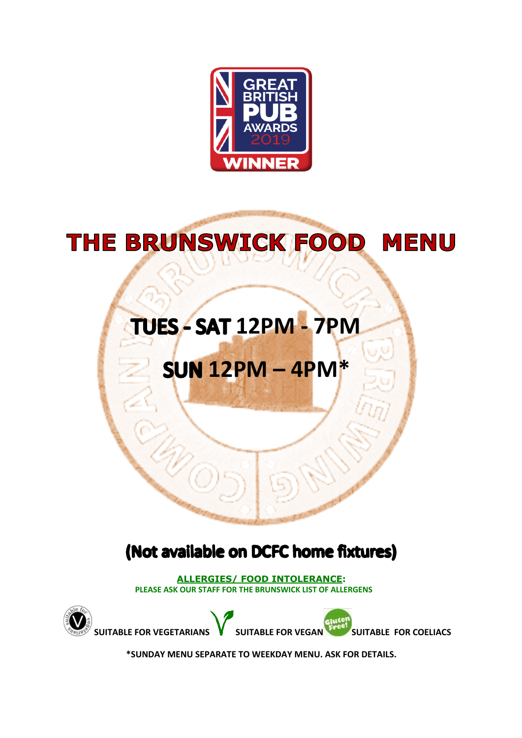

# THE BRUNSWICK FOOD MENU

# **12PM - 7PM**

# **12PM – 4PM\***

## (Not available on DCFC home fixtures)

**ALLERGIES/ FOOD INTOLERANCE: PLEASE ASK OUR STAFF FOR THE BRUNSWICK LIST OF ALLERGENS**



**\*SUNDAY MENU SEPARATE TO WEEKDAY MENU. ASK FOR DETAILS.**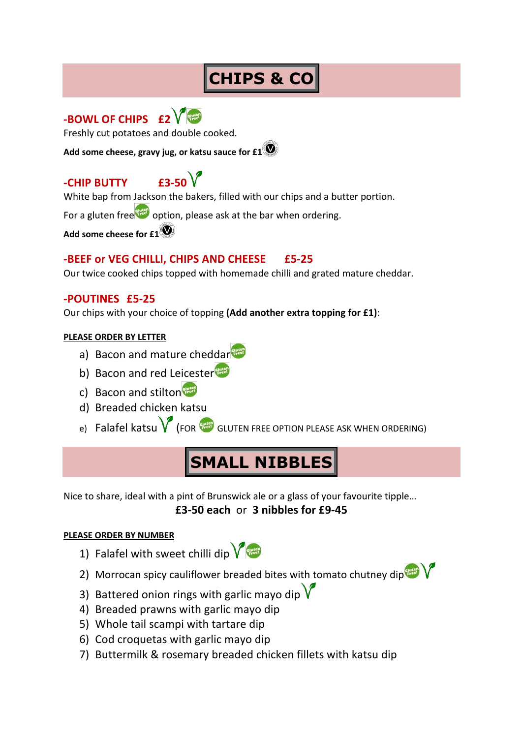## **CHIPS & CO**



Freshly cut potatoes and double cooked.

**Add some cheese, gravy jug, or katsu sauce for £1**

## **-CHIP BUTTY £3-50**



White bap from Jackson the bakers, filled with our chips and a butter portion.

For a gluten free option, please ask at the bar when ordering.

**Add some cheese for £1**

#### **-BEEF or VEG CHILLI, CHIPS AND CHEESE £5-25**

Our twice cooked chips topped with homemade chilli and grated mature cheddar.

#### **-POUTINES £5-25**

Our chips with your choice of topping **(Add another extra topping for £1)**:

#### **PLEASE ORDER BY LETTER**

- a) Bacon and mature cheddar
- b) Bacon and red Leicester
- c) Bacon and stilton
- d) Breaded chicken katsu
- e) Falafel katsu  $\bigvee$  (FOR GLUTEN FREE OPTION PLEASE ASK WHEN ORDERING)

## **SMALL NIBBLES**

Nice to share, ideal with a pint of Brunswick ale or a glass of your favourite tipple… **£3-50 each** or **3 nibbles for £9-45**

#### **PLEASE ORDER BY NUMBER**

- 1) Falafel with sweet chilli dip
- 2) Morrocan spicy cauliflower breaded bites with tomato chutney dip $\sqrt{\frac{4000}{n}}$
- 3) Battered onion rings with garlic mavo dip  $\sqrt{\ }$
- 4) Breaded prawns with garlic mayo dip
- 5) Whole tail scampi with tartare dip
- 6) Cod croquetas with garlic mayo dip
- 7) Buttermilk & rosemary breaded chicken fillets with katsu dip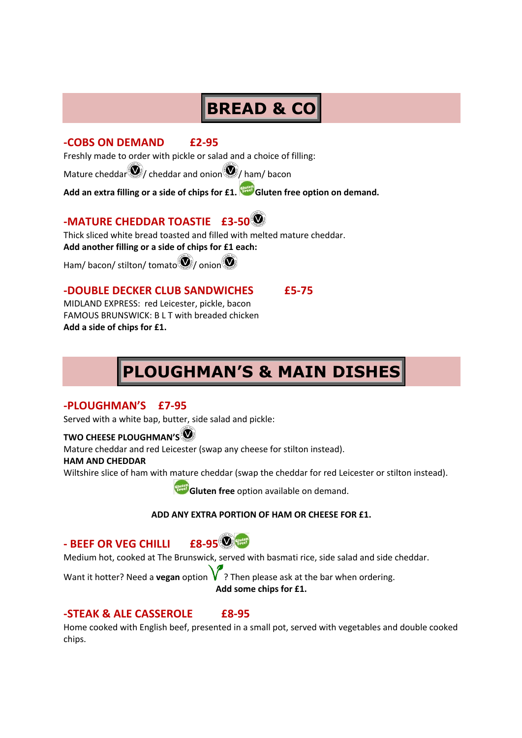## **BREAD & CO**

#### **-COBS ON DEMAND £2-95**

Freshly made to order with pickle or salad and a choice of filling:

Mature cheddar $\left( \boldsymbol{\Phi} \right)$  cheddar and onion  $\boldsymbol{\Phi}$  ham/ bacon

**Add an extra filling or a side of chips for £1. Gluten free option on demand.**

### **-MATURE CHEDDAR TOASTIE £3-50**

Thick sliced white bread toasted and filled with melted mature cheddar.

**Add another filling or a side of chips for £1 each:**

Ham/ bacon/ stilton/ tomato  $\bigcirc$  / onion  $\bigcirc$ 

#### **-DOUBLE DECKER CLUB SANDWICHES £5-75**

MIDLAND EXPRESS: red Leicester, pickle, bacon FAMOUS BRUNSWICK: B L T with breaded chicken **Add a side of chips for £1.**

## **PLOUGHMAN'S & MAIN DISHES**

#### **-PLOUGHMAN'S £7-95**

Served with a white bap, butter, side salad and pickle:

#### **TWO CHEESE PLOUGHMAN'S**

Mature cheddar and red Leicester (swap any cheese for stilton instead).

#### **HAM AND CHEDDAR**

Wiltshire slice of ham with mature cheddar (swap the cheddar for red Leicester or stilton instead).

**Gluten free** option available on demand.

#### **ADD ANY EXTRA PORTION OF HAM OR CHEESE FOR £1.**

### **- BEEF OR VEG CHILLI £8-95**



Medium hot, cooked at The Brunswick, served with basmati rice, side salad and side cheddar.

Want it hotter? Need a **vegan** option  $V$ ? Then please ask at the bar when ordering. **Add some chips for £1.**

#### **-STEAK & ALE CASSEROLE £8-95**

Home cooked with English beef, presented in a small pot, served with vegetables and double cooked chips.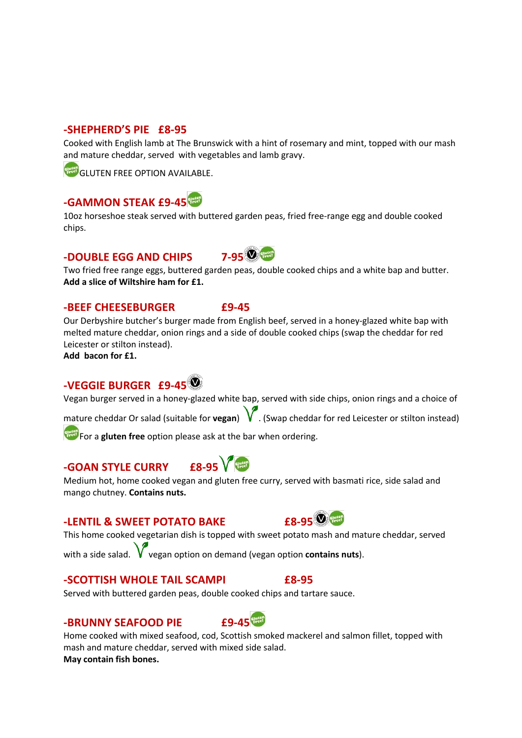#### **-SHEPHERD'S PIE £8-95**

Cooked with English lamb at The Brunswick with a hint of rosemary and mint, topped with our mash and mature cheddar, served with vegetables and lamb gravy.

GLUTEN FREE OPTION AVAILABLE.

### **-GAMMON STEAK £9-45**

10oz horseshoe steak served with buttered garden peas, fried free-range egg and double cooked chips.

### **-DOUBLE EGG AND CHIPS 7-95**



Two fried free range eggs, buttered garden peas, double cooked chips and a white bap and butter. **Add a slice of Wiltshire ham for £1.**

#### **-BEEF CHEESEBURGER £9-45**

Our Derbyshire butcher's burger made from English beef, served in a honey-glazed white bap with melted mature cheddar, onion rings and a side of double cooked chips (swap the cheddar for red Leicester or stilton instead).

**Add bacon for £1.**

### **-VEGGIE BURGER £9-45**

Vegan burger served in a honey-glazed white bap, served with side chips, onion rings and a choice of

mature cheddar Or salad (suitable for **vegan**) . (Swap cheddar for red Leicester or stilton instead)

For a **gluten free** option please ask at the bar when ordering.

## **-GOAN STYLE CURRY £8-95**

Medium hot, home cooked vegan and gluten free curry, served with basmati rice, side salad and mango chutney. **Contains nuts.**

### **-LENTIL & SWEET POTATO BAKE 18-95**

This home cooked vegetarian dish is topped with sweet potato mash and mature cheddar, served with a side salad.  $V$  vegan option on demand (vegan option **contains nuts**).

#### **-SCOTTISH WHOLE TAIL SCAMPI £8-95**

Served with buttered garden peas, double cooked chips and tartare sauce.

### **-BRUNNY SEAFOOD PIE £9-45**



Home cooked with mixed seafood, cod, Scottish smoked mackerel and salmon fillet, topped with mash and mature cheddar, served with mixed side salad. **May contain fish bones.**